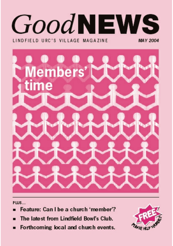## **GoodNEWS** LINDEIFIN HRC'S VILLAGE MAGAZINE MAY 2004



PLUS...

- Feature: Can I be a church 'member'?
- The latest from Lindfield Bowl's Club.
- Forthcoming local and church events.

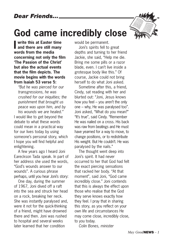## **God came incredibly close**



*"But he was pierced for our transgressions, he was crushed for our iniquities; the punishment that brought us peace was upon him, and by his wounds we are healed."* I would like to get beyond the debate to what these words could mean in a practical way for our lives today by using someone's personal story, which I hope you will find helpful and enlightening.

A few years ago I heard Joni Eareckson Tada speak. In part of her address she used the words, "God's wounds answer to our wounds". A curious phrase perhaps, until you hear Joni's story:

One day, during the summer of 1967, Joni dived off a raft into the sea and struck her head on a rock, breaking her neck. She was instantly paralysed and, were it not for the quick-thinking of a friend, might have drowned there and then. Joni was rushed to hospital and several weeks later learned that her condition

would be permanent.

Joni's spirits fell to great depths and turning to her friend Jackie, she said, "Help me die. Bring me some pills or a razor blade, even. I can't live inside a grotesque body like this." Of course, Jackie could not bring herself to do what Joni asked.

Sometime after this, a friend, Cindy, sat reading with her and blurted out: "Joni, Jesus knows how you feel – you aren't the only one – why, He was paralysed too". Joni asked, "What do you mean?" "It's true", said Cindy. "Remember He was nailed on a cross. His back was raw from beatings and He must have yearned for a way to move, to change positions, or to redistribute His weight. But He couldn't. He was paralysed by the nails."

The thought went deep into Joni's spirit. It had never occurred to her that God had felt the exact piercing sensations that racked her body. "At that moment", said Joni, "God came incredibly close." Joni contends that this is always the effect upon those who realise that the God they serve knows exactly how they feel. I pray that in sharing this story, as you reflect on your own life and circumstances He may come close, incredibly close, to you today.

*Colin Bones, minister*

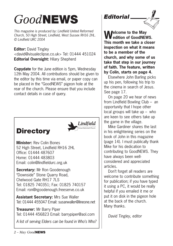## *Good***NEWS**

*This magazine is produced by: Lindfield United Reformed Church, 50 High Street, Lindfield, West Sussex RH16 2HL. © Lindfield URC 2004*

**Editor:** David Tingley <david@visualeclipse.co.uk> Tel: 01444 451024 **Editorial Oversight:** Hilary Shepherd

**Copydate** for the June edition is 5pm, Wednesday 12th May 2004. All contributions should be given to the editor by this time via email, or paper copy can be placed in the "GoodNEWS" pigeon hole at the rear of the church. Please ensure that you include contact details in case of query.

### **Directory**



**Minister:** Rev Colin Bones 52 High Street, Lindfield RH16 2HL Office: 01444 487607 Home: 01444 483803 Email: colin@lindfieldurc.org.uk

**Secretary:** Mr Ron Goodenough "Downside" Stone Quarry Road, Chelwood Gate RH17 7LS Tel: 01825 740351; Fax: 01825 740157 Email: ron@rgoodenough.freeserve.co.uk

**Assistant Secretary:** Mrs Sue Waller Tel: 01444 455047 Email: susanwaller@lineone.net

**Treasurer:** Mr Barry Piper Tel: 01444 456823 Email: barrypiper@aol.com

*A list of serving Elders can be found in Who's Who?*

### *Editorial*



**Welcome to the May edition of GoodNEWS. This month we take a closer inspection on what it means to be a member of the church, and why some of us take that step in our journey of faith. The feature, written by Colin, starts on page 4.**

Elsewhere John Barling picks up his pen, following his trip to the cinema in search of Jesus. See page 17.

On page 20 we hear of news from Lindfield Bowling Club – an opportunity that I hope other local groups will take up – who are keen to see others take up the game in the village.

Mike Gardiner shares the last in his enlightening series on the book of John in this magazine (page 14). I must publically thank Mike for his dedication to contributing to GoodNEWS. They have always been wellconsidered and appreciated articles.

Don't forget all readers are welcome to contribute something for publication; if you have typed it using a PC, it would be really helpful if you emailed it me or put it on disk in the pigeon hole at the back of the church. Many thanks.

*David Tingley, editor*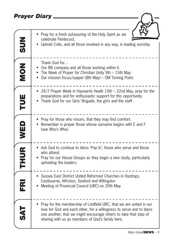### *Prayer Diary*

| Prayer Diary            |                                                                                                                                                                                                                                                                       |
|-------------------------|-----------------------------------------------------------------------------------------------------------------------------------------------------------------------------------------------------------------------------------------------------------------------|
|                         |                                                                                                                                                                                                                                                                       |
| <b>NUS</b>              | Pray for a fresh out-pouring of the Holy Spirit as we<br>celebrate Pentecost.<br>Uphold Colin, and all those involved in any way, in leading worship.                                                                                                                 |
| NON                     | Thank God for<br>Our BB company and all those working within it.<br>• The Week of Prayer for Christian Unity 9th - 15th May.<br>Our mission focus/supper (8th May) – OM Turning Point.                                                                                |
| E                       | 24/7 Prayer Week in Haywards Heath 15th - 22nd May, pray for the<br>preparations and for enthusiastic support for this opportunity.<br>Thank God for our Girls' Brigade, the girls and the staff.                                                                     |
| WED                     | Pray for those who mourn, that they may find comfort.<br>Remember in prayer those whose surname begins with E and F<br>(see Who's Who).                                                                                                                               |
| <b>THUR</b>             | • Ask God to continue to bless 'Pop In', those who serve and those<br>who attend.<br>• Pray for our House Groups as they begin a new study, particularly<br>upholding the leaders.                                                                                    |
| $\mathbf{\overline{a}}$ | Sussex East District United Reformed Churches in Hastings,<br>Eastbourne, Alfriston, Seaford and Willingdon<br>Meeting of Provincial Council (URC) on 20th May.                                                                                                       |
|                         | • Pray for the membership of Lindfield URC, that we are united in our<br>love for God and each other, for a willingness to serve and to bless<br>one another; that we might encourage others to take that step of<br>sharing with us as members of God's family here. |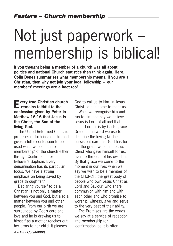# Not just paperwork – membership is biblical!

**If you thought being a member of a church was all about politics and national Church statistics then think again. Here, Colin Bones summarises what membership means. If you are a Christian, then why not join your local fellowship – our members' meetings are a hoot too!**

### **Every true Christian church remains faithful to the confession given by Peter in Matthew 16:16 that Jesus is the Christ, the Son of the living God.**

The United Reformed Church's promises of faith include this and gives a fuller confession to be used when we 'come into membership' of the church either through Confirmation or Believer's Baptism. Every denomination has its particular focus. We have a strong emphasis on being saved by grace through faith.

Declaring yourself to be a Christian is not only a matter between you and God, but also a matter between you and other people. From our birth we are surrounded by God's care and love and he is drawing us to himself as a mother reaches out her arms to her child. It pleases

God to call us to him. In Jesus Christ he has come to meet us.

When we recognise him and run to him and say we believe Jesus is Lord of all and that he is our Lord, it is by God's grace. Grace is the word we use to describe the loving kindness and persistent care that God has for us, the grace we see in Jesus Christ who gave himself for us, even to the cost of his own life. By that grace we come to the moment in our lives when we say we wish to be a member of the CHURCH: the great body of people who own Jesus Christ as Lord and Saviour, who share communion with him and with each other and who promise to worship, witness, give and serve to the very best of their ability.

The Promises are the words we say at a service of reception into membership (or 'confirmation' as it is often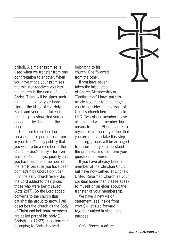called). A simpler promise is used when we transfer from one congregation to another. When you have made your promises the minister receives you into the church in the name of Jesus Christ. There will be signs such as a hand laid on your head – a sign of the filling of the Holy Spirit and your hand taken in friendship to show that you are accepted, by Jesus and the church.

The church membership service is an important occasion in your life. You say publicly that you want to be a member of the Church – God's family – for ever and the Church says, publicly, that you have become a member of the family because you have been born again by God's Holy Spirit.

In the early church 'every day the Lord added to their group those who were being saved' (Acts 2:47). So the Lord added converts to the church thus causing the group to grow. Paul describes the church as the Body of Christ and individual members are called part of his body (1 Corinthians 12:27). It is clear that belonging to Christ involved

belonging to his church. One followed from the other.

If you have never taken the initial step of Church Membership or 'Confirmation' I have put this article together to encourage you to consider membership of Christ's church here at Lindfield URC. Two of our members have also shared what membership means to them. Please speak to myself or an elder if you feel that you are ready to take this step. Teaching groups will be arranged to ensure that you understand the promises and can have your questions answered.

If you have already been a member of the Christian Church but have now settled at Lindfield United Reformed Church as your spiritual home then please speak to myself or an elder about the transfer of your membership.

We have a new vision statement (see inside front cover) – let's go forward together united in vision and purpose.

*Colin Bones, minister*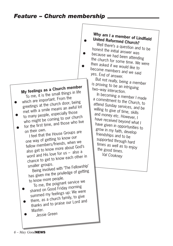### *Feature – Church membership*

### **My feelings as a Church member** To me, it is the small things in life

- which are important. From the greetings at the church door, being met with a smile means an awful lot
- to many people, especially those who might be coming to our church for the first time, and those who live
- on their own.
	- <sup>I</sup> feel that the House Groups are one way of getting to know our fellow members/friends, when we also get to know more about God's word and His love for us – also a chance to get to know each other in smaller groups.

Being involved with 'The Fellowship' has given me the priviledge of getting to know more people.

To me, the poignant service we

- shared on Good Friday morning summed my feelings up: We were there, as a church family, to give
- thanks and to praise our Lord and Master.
	- *Jessie Green*

### **Why am I a member of Lindfield United Reformed Church?**

Well there's a question and to be honest the initial answer was because we had been attending the church for some time. We were then asked if we would like to become members and we said yes. End of answer.

But not really, being a member is proving to be an intriguing two–way interaction.

In becoming a member I made a commitment to the Church, to attend Sunday services, and be willing to give of time, skills and money etc. However, I have received beyond what I have given in opportunities to grow in my faith, develop friendships and to be supported through hard times as well as to enjoy the good times. *Val Cookney*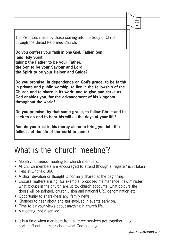The Promises made by those coming into the Body of Christ through the United Reformed Church:

**Do you confess your faith in one God, Father, Son and Holy Spirit, taking the Father to be your Father, the Son to be your Saviour and Lord, the Spirit to be your Helper and Guide?**

**Do you promise, in dependence on God's grace, to be faithful in private and public worship, to live in the fellowship of the Church and to share in its work; and to give and serve as God enables you, for the advancement of his kingdom throughout the world?**

**Do you promise, by that same grace, to follow Christ and to seek to do and to bear his will all the days of your life?**

**And do you trust in his mercy alone to bring you into the fullness of the life of the world to come?**

## What is the 'church meeting'?

- Monthly 'business' meeting for church members.
- All church members are encouraged to attend (though a 'register' isn't taken!)
- Held at Lindfield URC.
- A short devotion or thought is normally shared at the beginning.
- Discuss matters arising, for example; proposed maintenance, new minister, what groups in the church are up to, church accounts, what colours the doors will be painted, church vision and national URC denomination etc.
- Opportunity to share/hear any 'family news'.
- Chances to hear about and get involved in events early on.
- Time to air your views about anything in church life.
- A meeting, not a service.
- It is a time when members from all three services get together, laugh, sort stuff out and hear about what God is doing.

 $\ddagger$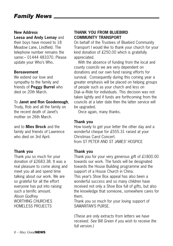### **New Address**

**Leesa and Andy Lemay** and their boys have moved to 18 Meadow Lane, Lindfield. The telephone number remains the same:– 01444 483370. Please update your Who's Who.

### **Bereavement**

We extend our love and sympathy to the family and friends of **Peggy Burrel** who died on 20th March.

### To **Janet and Ron Goodenough**,

Trudy, Rob and all the family on the recent death of Janet's mother on 26th March.

and to **Mies Brock** and the family and friends of Lawrence who died on 3rd April.

### **Thank you**

Thank you so much for your donation of £2683.38. It was a real pleasure to come along and meet you all and spend time talking about our work. We are so grateful for all the effort everyone has put into raising such a terrific amount. *Alison Godfrey*  WORTHING CHURCHES HOMELESS PROJECTS

### **THANK YOU FROM BLUEBIRD COMMUNITY TRANSPORT**

On behalf of the Trustees of Bluebird Community Transport I would like to thank your church for your kind donation of £250.00 which is gratefully appreciated.

With the absence of funding from the local and county councils we are very dependent on donations and our own fund raising efforts for survival. Consequently during this coming year a greater emphasis will be placed on helping groups of people such as your church and less on Dial–a–Ride for individuals. This decision was not taken lightly and if funds are forthcoming from the councils at a later date then the latter service will be upgraded.

Once again, many thanks.

### **Thank you**

How lovely to get your letter the other day and a wonderful cheque for £555.31 raised at your Christmas Carol Concert. from ST PETER AND ST JAMES' HOSPICE

### **Thank you**

Thank you for your very generous gift of £1800.00 towards our work. The funds will be designated towards the House Building programme and the support of a House Church in China.

This year's Shoe Box appeal has also been a wonderful success and so many children have received not only a Shoe Box full of gifts, but also the knowledge that someone, somewhere cares for them.

Thank you so much for your loving support of SAMARITAN'S PURSE.

*(These are only extracts from letters we have received. See Bill Green if you wish to receive the full version.)*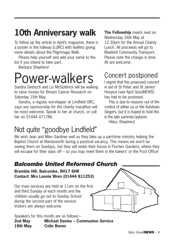## **10th Anniversary walk**

To follow up the article in April's magazine, there is a poster in the hallway (LURC) with leaflets giving more details about the Pilgrimage Walk.

Please help yourself and add your name to the list if you intend to take part.

*Barbara Shepherd*

# Power-walkers

Sandra Gedrych and Liz McGoldrick will be walking to raise money for Breast Cancer Research on Saturday 15th May.

Sandra, a regular worshipper at Lindfield URC, says any sponsorship for the charity marathon will be most welcome. Speak to her at church, or call her on 01444 471786.

**The Fellowship** meets next on Wednesday 26th May at 12.30pm for the Annual Charity Lunch. All proceeds will go to Bluebird Community Transport. Please note the change in time. All are welcome.

## Concert postponed

I regret that the proposed concert in aid of St Peter and St James' Hospice (see April GoodNEWS) has had to be postoned.

This is due to reasons out of the control of either us or the Ashdown Singers, but it is hoped to hold this in the late summer/autumn. *Hilary Shepherd*

## Not quite "goodbye Lindfield"

We wish Jean and Mike Gardiner well as they take up a part-time ministry helping the Baptist Church at Wandsworth during a pastoral vacancy. This means we won't be seeing them on Sundays, but they will retain their house in Finches Gardens, where they will escape for their days off – so you may meet them in the bakers' or the Post Office!

### *Balcombe United Reformed Church*

**Bramble Hill, Balcombe, RH17 6HR Contact: Mrs Leonie Wren (01444 811253)**

Our main services are held at 11am on the first and third Sunday of each month and the children usually go out to Sunday School during the second part of the service. Visitors are always welcome.



Speakers for this month are as follows:– **2nd May Michael Davies – Communion Service 16th May Colin Bones**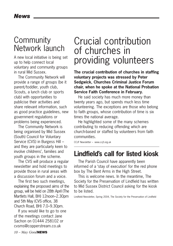### **Community** Network launch

A new local initiative is being set up to help connect local voluntary and community groups in rural Mid Sussex.

The Community Network will provide a range of groups (be it parent/toddler, youth club, Scouts, a lunch club or sports club) with opportunities to publicise their activities and share relevant information, such as good practice guidelines, new government regulations or problems being experienced.

The Community Network is being organised by Mid Sussex (South) Council for Voluntary Service (CVS) in Burgess Hill – and they are particularly keen to involve childrens', families and youth groups in the scheme.

The CVS will produce a regular newsletter and hold meetings to provide those in rural areas with a discussion forum and a voice.

The first two such meetings, explaining the proposed aims of the group, will be held on 28th April (The Martlets Hall, BH) 12noon–2.30pm and 5th May (CVS office, 38 Church Road, BH) 7.0–9.30pm.

If you would like to go to one of the meetings contact Jane Sachon on 01444 258102 or cvsms@copperstream.co.uk

## Crucial contribution of churches in providing volunteers

**The crucial contribution of churches in staffing voluntary projects was stressed by Peter Sedgwick, Churches Criminal Justice Forum chair, when he spoke at the National Probation Service Faith Conference in February.**

He said society has much more money than twenty years ago, but spends much less time volunteering. The exceptions are those who belong to faith groups, whose contribution of time is six times the national average.

He highlighted some of the many schemes contributing to reducing offending which are church-based or staffed by volunteers from faith communities.

CCJF Newsletter – www.ccjf.org.uk

### **Lindfield's call for listed kiosk**

The Parish Council have apparently been informed of a 'stay of execution' for the red phone box by The Bent Arms in the High Street.

This is welcome news. In the meantime, The Society for the Preservation of Lindfield has written to Mid Sussex District Council asking for the kiosk to be listed.

Lindfield Newsletter, Spring 2004, The Society for the Preservation of Lindfield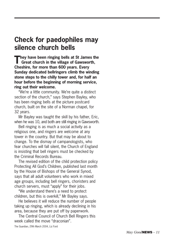### **Check for paedophiles may silence church bells**

**They have been ringing bells at St James the Great church in the village of Gawsworth, Cheshire, for more than 600 years. Every Sunday dedicated bellringers climb the winding stone steps to the chilly tower and, for half an hour before the beginning of morning service, ring out their welcome.**

"We're a little community. We're quite a distinct section of the church," says Stephen Bayley, who has been ringing bells at the picture postcard church, built on the site of a Norman chapel, for 32 years.

Mr Bayley was taught the skill by his father, Eric, when he was 10, and both are still ringing in Gawsworth.

Bell ringing is as much a social activity as a religious one, and ringers are welcome at any tower in the country. But that may be about to change. To the dismay of campanologists, who fear churches will fall silent, the Church of England is insisting that bell ringers must be checked by the Criminal Records Bureau.

The revised edition of the child protection policy Protecting All God's Children, published last month by the House of Bishops of the General Synod, says that all adult volunteers who work in mixed age groups, including bell ringers, choristers and church servers, must "apply" for their jobs.

"We understand there's a need to protect children, but this is overkill," Mr Bayley says.

He believes it will reduce the number of people taking up ringing, which is already declining in his area, because they are put off by paperwork.

The Central Council of Church Bell Ringers this week called the move "draconian".

The Guardian, 29th March 2004, Liz Ford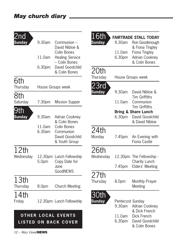| 2nd<br><b>Sunday</b> | 9.30am<br>11.0am  | Communion -<br>David Nibloe &<br>Colin Bones<br><b>Healing Service</b><br>- Colin Bones | 16th<br><b>Sunday</b> | 9.30am<br>11.0am<br>6.30pm | <b>FAIRTRADE STALL TODAY</b><br>Ron Goodenough<br>& Fiona Tingley<br>Fiona Tingley<br><b>Adrian Cookney</b><br>& Colin Bones |
|----------------------|-------------------|-----------------------------------------------------------------------------------------|-----------------------|----------------------------|------------------------------------------------------------------------------------------------------------------------------|
|                      | 6.30pm            | David Goodchild<br>& Colin Bones                                                        | 20th                  |                            |                                                                                                                              |
| 6th<br>Thursday      | House Groups week |                                                                                         | Thursday<br>23rd      |                            | House Groups week                                                                                                            |
| 8th                  |                   |                                                                                         | <b>Sunday</b>         | 9.30am                     | David Nibloe &<br><b>Tim Griffiths</b>                                                                                       |
| Saturday<br>9th      | 7.30pm            | <b>Mission Supper</b>                                                                   |                       | 11.0am                     | Communion<br><b>Tim Griffiths</b>                                                                                            |
| <b>Sunday</b>        | 9.30am            | Adrian Cookney<br>& Colin Bones                                                         |                       | 6.30pm                     | <b>Bring &amp; Share Lunch</b><br>David Goodchild<br>& David Nibloe                                                          |
|                      | 11.0am<br>6.30am  | Colin Bones<br>Communion<br>David Goodchild<br>& Youth Group                            | 24th<br>Monday        | 7.45pm                     | An Evening with<br>Fiona Castle                                                                                              |
| 12th<br>Wednesday    | 5.0 <sub>pm</sub> | 12.30pm Lunch Fellowship<br>Copy Date for<br>June                                       | 26th<br>Wednesday     | 7.45pm                     | 12.30pm The Fellowship -<br>Charity Lunch<br>Elders' Meeting                                                                 |
| 13th                 |                   | <b>GoodNEWS</b>                                                                         | 27th                  |                            |                                                                                                                              |
| Thursday             | 8.0pm             | <b>Church Meeting</b>                                                                   | Thursday              | 8.0pm                      | Monthly Prayer<br>Meeting                                                                                                    |
| 14th<br>Friday       |                   | 12.30pm Lunch Fellowship                                                                | 30th<br><b>Sunday</b> | Pentecost Sunday<br>9.30am | <b>Adrian Cookney</b>                                                                                                        |
| <b>OTHER</b>         |                   | <b>LOCAL EVENTS</b><br><b>LISTED ON BACK COVER</b>                                      |                       | 11.0am<br>6.30pm           | & Dick French<br><b>Dick French</b><br>David Goodchild                                                                       |

& Colin Bones

*12 – May Good***NEWS**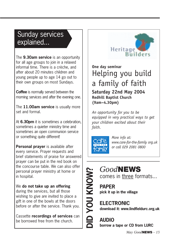### Sunday services explained...

The **9.30am service** is an opportunity for all age groups to join in a relaxed informal time. There is a crèche, and after about 20 minutes children and young people up to age 14 go out to their own groups on most Sundays.

**Coffee** is normally served between the morning services and after the evening one.

The **11.00am service** is usually more set and formal.

At **6.30pm** it is sometimes a celebration, sometimes a quieter ministry time and sometimes an open communion service or something quite different!

**Personal prayer** is available after every service. Prayer requests and brief statements of praise for answered prayer can be put in the red book on the concourse table. We can also offer personal prayer ministry at home or in hospital.

We **do not take up an offering** during the services, but all those wishing to give are invited to place a

gift in one of the bowls at the doors before or after the service. Thank you.

Cassette **recordings of services** can be borrowed free from the church.



**One day seminar** Helping you build a family of faith **Saturday 22nd May 2004 Redhill Baptist Church (9am–4.30pm)** 

*An opportunity for you to be equipped in very practical ways to get your children excited about their faith.*



*More info at: www.care-for-the-family org.uk or call 029 2081 0800*

comes in three formats...

**PAPER pick it up in the village**

# **DIDD COOD RAPER**<br> **DIDDD ELECTRONIC**<br> **AUDIO**<br> **AUDIO ELECTRONIC download it: www.lindfieldurc.org.uk**

**AUDIO**

**borrow a tape or CD from LURC**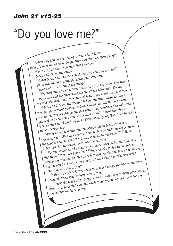### *John 21 v15-25*

## "Do you love me?"

15When they had finished eating, Jesus said to Simon<br>15When they had finished eating, Jesus said to Simon Peter, "Simon son of John, do you truly love me more than these?"<br>"Yes, Lord," he said, "you know that I love you."<br>Jesus said, "Feed my lambs."<br>Comparison of John, do you truly love me?" "Yes, Lord," he said, "you know that I love you." Wes, Lord," he said, you will be said.<br>Jesus said, "Feed my lambs."<br>16 Again Jesus said, "Simon son of John, do you truly love me?"<br>16 Again Jesus said, "Simon son of John, do you " He answered, "Yes, Lord, you know that I love you."<br>Jesus said, "Take care of my sheep." whe answered, "Yes, Lord, you mise."<br>He answered, "Take care of my sheep."<br>Jesus said, "Take care of my sheep."<br>17The third time he said to him, "Simon son of John, do you love you<br>17The third time he said to him, "Simon s Peter was hurt because Jesus asked him the third time, "Do you love me?" He said, "Lord, you know all things; you know that I love you." <sup>18</sup> Jesus said, "Feed my sheep. I tell you the truth, when you were we me?" He said, "Lorg, you weep. I tell you the trum," anted; but when<br>18 Jesus said, "Feed my sheep. I tell you the trum," and someone else will drive<br>younger you dressed yourself and went where you wanted; said this to<br> you are old you will stretch out your hands, and someone else will dress you and lead you where you do not want to go." 19 Jesus said this to indicate the kind of death by which Peter would glorify God. Then he said to him, "Follow me!" 20 the kind of death by the disciple whom Jesus loved was<br>im, "Follow me!"<br>20 peter turned and saw that the disciple whom Jesus against Je dicate the m...<br>o him, "Follow me!"<br>20 approximate the meaning them. (This was the one who had leaned back against Jesus at<br>following them. (This was the one who had going to betray you?") <sup>21</sup> When<br>following them. Land sa the supper and had said, "Lord, who is going to betray you?") <sup>21</sup> When When Peter saw him, he asked, "Lord, what about him?" wing the rand had said, "Lord, what about him?"<br>Bupper and had said, "Lord, what about him?"<br>In saw him, he asked, "If I want him to remain alive until I return, what is<br> $\frac{22}{{}25}$  Jesus answered, the rumor spread at th that to you? You must follow me." <sup>23</sup> Because of this, the rumor spread that to you? You must follow me." among the brothers that this disciple would not die. But Jesus did not say that he would not die; he only said, "If I want him to remain alive until I return, what is that to you?" The would not die; he only sale,<br>In what is that to you?"<br>24This is the disciple who testifies to these things and who wrote them<br>24This is the disciple who testimony is true. down. We know that his testimony is true. n, what is the disciple who testings as well. If every one of them were written<br>in. We know that his testimony is true.<br>25 Jesus did many other things as well. If every one of thave room for the down, I suppose that even the whole world would not have room for the books that would be written.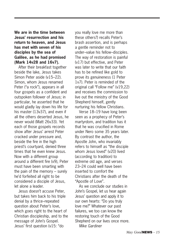### **We are in the time between Jesus' resurrection and his return to heaven, and Jesus has met with seven of his disciples by the sea of Galilee, as he had promised (Mark 14v28 and 16v7).**

After their breakfast together beside the lake, Jesus takes Simon Peter aside (v15–22). Simon, whom Jesus renamed Peter ("a rock"), appears in all four gospels as a confident and outspoken follower of Jesus; in particular, he asserted that he would gladly lay down his life for his master (13v37), and even if all the others deserted Jesus, he never would (Matt 26v33). Yet each of those gospels records show after Jesus' arrest Peter cracked under pressure and, beside the fire in the high priest's courtyard, denied three times that he even knew Jesus. Now with a different group around a different fire (v9), Peter must have been smarting with the pain of the memory – surely he'd forfeited all right to be considered a disciple of Jesus, let alone a leader.

Jesus doesn't accuse Peter, but takes him back to his triple denial by a thrice–repeated question about Peter's love, which goes right to the heart of Christian discipleship, and to the message of John's Gospel. Jesus' first question (v15: "do

you really love me more than these others?) recalls Peter's brash assertion, and is perhaps a gentle reminder not to under–value his fellow–disciples. The way of restoration is painful (v17) but effective, and Peter was later to write that our faith has to be refined like gold to prove its genuineness (1 Peter 1v7). Peter is reminded of the original call "Follow me" (v19,22) and receives the commission to live out the ministry of the Good Shepherd himself, gently nurturing his fellow Christians.

Verse 18–19 have long been seen as a prophecy of Peter's martyrdom, and tradition has it that he was crucified in Rome under Nero some 35 years later. By contrast the author, the Apostle John, who invariably refers to himself as "the disciple whom Jesus loved" (v20) lived (according to tradition) to extreme old age, and verses 23–24 could well have been inserted to comfort the Christians after the death of the "Apostle of Love".

As we conclude our studies in John's Gospel, let us hear again Jesus' question and apply it to our own hearts: "Do you truly love me?" Whatever our past failures, we too can know the restoring touch of the Good Shepherd on our lives once more. *Mike Gardiner*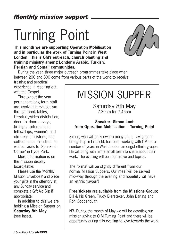# Turning Point

**This month we are supporting Operation Mobilisation and in particular the work of Turning Point in West London. This is OM's outreach, church planting and training ministry among London's Arabic, Turkish, Persian and Somali communities.**



During the year, three major outreach programmes take place when between 200 and 300 come from various parts of the world to receive

training and practical experience in reaching out with the Gospel.

Throughout the year permanent long term staff are involved in evangelism through book tables, literature/video distribution, door–to–door surveys, bi–lingual international fellowships, women's and children's ministries, and coffee house ministries as well as visits to 'Speaker's Corner' in Hyde Park.

More information is on the mission display board/table.

Please use the 'Monthly Mission Envelopes' and place your gifts in the offertory at any Sunday service and complete a Gift Aid Slip if appropriate.

In addition to this we are holding a Mission Supper on **Saturday 8th May** (see inset).

## MISSION SUPPER

Saturday 8th May 7.30pm for 7.45pm

### **Speaker: Simon Lunt from Operation Mobilisation – Turning Point**

Simon, who will be known to many of us, having been brought up in Lindfield, has been working with OM for a number of years in West London amongst ethnic groups. He will bring with him a small team to share about their work. The evening will be informative and topical.

The format will be slightly different from our normal Mission Suppers. Our meal will be served mid–way through the evening and hopefully will have an 'ethnic flavour'!

**Free tickets** are available from the **Missions Group**; Bill & Iris Green, Trudy Biersteker, John Barling and Ron Goodenough

NB. During the month of May we will be devoting our mission giving to O M Turning Point and there will be opportunity during this evening to give towards the work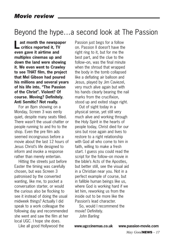### Beyond the hype…a second look at The Passion

**Last month the newspaper critics reported it, TV even gave it airtime and multiplex cinemas up and down the land were showing it. We even went to Crawley to see THAT film, the project that Mel Gibson had poured his millions and several years of his life into, "The Passion of the Christ". Violent? Of course. Moving? Definitely. Anti Semitic? Not really.**

For an 8pm showing on a Monday, Screen 3 was eerily quiet, despite many seats filled. There wasn't the usual chatter or people running to and fro to the shop. Even the pre film ads seemed incongruous before a movie about the last 12 hours of Jesus Christ's life designed to inform and invoke a response rather than merely entertain.

Hitting the streets just before Easter the timing was carefully chosen, but was Screen 3 patronised by the converted wanting, like me, to pocket a conversation starter, or would the curious also be flocking to see it instead of doing the usual midweek things? Actually I did speak to a work colleague the following day and recommended she went and saw the film at her local UGC. I hope she does.

Like all good Hollywood the

Passion just begs for a follow on. Passion II doesn't have the right ring to it, but for me the best part, and the clue to the follow–on, was the final minute when the shroud that wrapped the body in the tomb collapsed like a deflating air balloon and Jesus, played by Jim Caviezel, very much alive again but with his hands clearly bearing the nail marks from the crucifixion, stood up and exited stage right.

Out of sight today in a physical sense, yet still very much alive and working through the Holy Spirit in the hearts of people today, Christ died for our sins but rose again and lives to restore to a right relationship with God all who come to him in faith, willing to make a fresh start. I guess you could read the script for the follow–on movie in the bible's Acts of the Apostles, but better still, see the visual aid in a Christian near you. Not in a perfect example of course, but in fallible human beings like us, where God is working hard if we let him, reworking us from the inside out to be more like the Passion's lead character.

So, would I recommend the movie? Definitely. *John Barling*

**www.ugccinemas.co.uk www.passion-movie.com**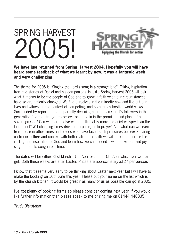# SPRING HARVEST 2005!



**We have just returned from Spring Harvest 2004. Hopefully you will have heard some feedback of what we learnt by now. It was a fantastic week and very challenging.**

The theme for 2005 is "Singing the Lord's song in a strange land". Taking inspiration from the stories of Daniel and his companions–in–exile Spring Harvest 2005 will ask what it means to be the people of God and to grow in faith when our circumstances have so dramatically changed. We find ourselves in the minority now and live out our lives and witness in the context of competing, and sometimes hostile, world views. Surrounded by reports of an apparently declining church, can Christ's followers in this generation find the strength to believe once again in the promises and plans of a sovereign God? Can we learn to live with a faith that is more the quiet whisper than the loud shout? Will changing times drive us to panic, or to prayer? And what can we learn from those in other times and places who have faced such pressures before? Squaring up to our culture and context with both realism and faith we will look together for the infilling and inspiration of God and learn how we can indeed – with conviction and joy – sing the Lord's song in our time.

The dates will be either 31st March – 5th April or 5th – 10th April whichever we can get. Both these weeks are after Easter. Prices are approximately £127 per person.

I know that it seems very early to be thinking about Easter next year but I will have to make the booking on 10th June this year. Please put your name on the list which is by the church kitchen. It would be great if as many of us as possible can go in 2005.

I've got plenty of booking forms so please consider coming next year. If you would like further information then please speak to me or ring me on 01444 440835.

*Trudy Biersteker*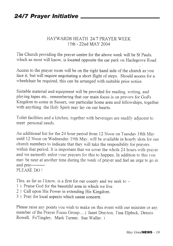### HAYWARDS HEATH 24/7 PRAYER WEEK 15th - 22nd MAY 2004

The Church providing the prayer centre for the above week will be St Pauls. which as most will know, is located opposite the car park on Hazlegrove Road.

Access to the prayer room will be on the right hand side of the church as you face it, but will require negotiating a short flight of steps. Should access for a wheelchair be required, this can be arranged with suitable prior notice.

Suitable material and equipment will be provided for reading, writing, and playing tapes etc., remembering that our main focus is on pravers for God's Kingdom to come in Sussex, our particular home area and fellowships, together with anything the Holy Spirit may lay on our hearts.

Toilet facilities and a kitchen, together with beverages are readily adjacent to meet personal needs.

An additional list for the 24 hour period from 12 Noon on Tuesday 18th May until 12 Noon on Wednesday 19th May, will be available in hourly slots for our church members to indicate that they will take the resposibility for pravers within that period. It is important that we cover the whole 24 hours with prayer and we earnestly enlist your prayers for this to happen. In addition to this you may be near at another time during the week of prayer and feel an urge to go in and pray---------PLEASE DO!

This, as far as I know, is a first for our county and we seek to :-

- 1) Praise God for the beautiful area in which we live.
- 2) Call upon His Power in extending His Kingdom.
- 3) Pray for local aspects which cause concern.

Please raise any points you wish to make on this event with our minister or any member of the Prayer Focus Group..... (Janet Drayton, Tina Elphick, Dennis Rowell, Fo'Tingley, Mark Turner, Sue Waller.)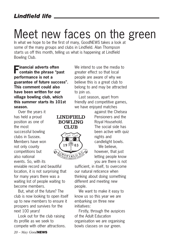## Meet new faces on the green

In what we hope to be the first of many, GoodNEWS takes a look at some of the many groups and clubs in Lindfield. Alan Thompson starts us off this month, telling us what is happening at Lindfield Bowling Club.

**Financial adverts often contain the phrase "past performance is not a guarantee of future success". This comment could also have been written for our village bowling club, which this summer starts its 101st season.**

Over the years it has held a proud position as one of the most successful bowling clubs in Sussex. Members have won not only county competitions but also national events. So, with its





enviable record and beautiful location, it is not surprising that for many years there was a waiting list of people waiting to become members.

But, what of the future? The club is now looking to open itself up to new members to ensure it prospers and survives for the next 100 years!

Look out for the club raising its profile as we seek to compete with other attractions. We intend to use the media to greater effect so that local people are aware of why we believe this is a great club to belong to and may be attracted to join us.

Last season, apart from friendly and competitive games, we have enjoyed matches

against the Chelsea Pensioners and the Royal Household. The social side has been active with quiz nights and candlelight bowls. We believe.

however, that just letting people know you are there is not

sufficient, in itself, to overcome our natural reticence when thinking about doing something different and meeting new people.

We want to make it easy to know us so this year we are embarking on three new initiatives:

Firstly, through the auspices of the Adult Education organisation we are organising bowls classes on our green.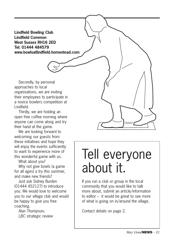**Lindfield Bowling Club Lindfield Common West Sussex RH16 2ED Tel: 01444 484579 www.bowlsatlindfield.homestead.com**

Secondly, by personal approaches to local organisations, we are inviting their employees to participate in a novice bowlers competition at Lindfield.

Thirdly, we are holding an open free coffee morning where anyone can come along and try their hand at the game.

We are looking forward to welcoming our guests from these initiatives and hope they will enjoy the events sufficiently to want to experience more of this wonderful game with us.

What about you?

Why not give bowls (a game for all ages) a try this summer, and make new friends?

Just ask Sidney Burden (01444 452127) to introduce you. We would love to welcome you to our village club and would be happy to give you free coaching.

*Alan Thompson, LBC strategic review*



## Tell everyone about it.

If you run a club or group in the local community that you would like to talk more about, submit an article/information to editor – it would be great to see more of what is going on in/around the village.

Contact details on page 2.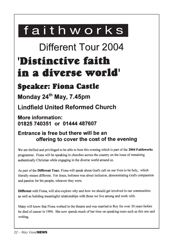## faithworks

## Different Tour 2004

## 'Distinctive faith in a diverse world'

## **Speaker: Fiona Castle**

Monday 24<sup>th</sup> May, 7.45pm

**Lindfield United Reformed Church** 

More information: 01825 740351 or 01444 487607

### Entrance is free but there will be an offering to cover the cost of the evening

We are thrilled and privileged to be able to host this evening which is part of the 2004 Faithworks programme. Fiona will be speaking in churches across the country on the issue of remaining authentically Christian while engaging in the diverse world around us.

As part of the Different Tour, Fiona will speak about God's call on our lives to be holy, which literally means different. For Jesus, holiness was about inclusion, demonstrating God's compassion and passion for his people, whoever they were.

**Different** with Fiona, will also explore why and how we should get involved in our communities as well as building meaningful relationships with those we live among and work with.

Many will know that Fiona worked in the theatre and was married to Roy for over 30 years before he died of cancer in 1994. She now spends much of her time on speaking tours such as this one and writing.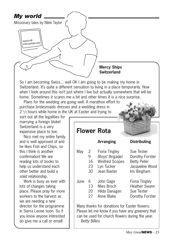

So I am becoming Swiss... well OK I am going to be making my home in Switzerland. It's quite a different sensation to living in a place temporarily. Now when I look around this isn't just where I live but actually somewhere that will be home. Sometimes it scares me a bit and other times it is a nice surprise.

Plans for the wedding are going well. A marathon effort to purchase bridesmaids dresses and a wedding dress in 2  $\frac{1}{2}$  hours while home in the UK at Easter and trying to

sort out all the legalities for marrying a foreign bloke! Switzerland is a very expensive place to live.

Nico met my entire family and is well approved of and he likes Fish and Chips, so this I think is another confirmation! We are reading lots of books to help us understand each other better and build a solid relationship.

Work is busy as ever with lots of changes taking place. Please pray for more workers to the harvest as we are needing a new director for the programme in Sierra Leone soon. So if you know anyone interested do give me a call or email!

### **Flower Rota Arranging Distributing** May 2 Fiona Tingley Sue Tester 9 (Boys' Brigade) Dorothy Forster 16 Winifred Scopes Betty Peter 23 Lyn Tucker Jacqueline Wood 30 Jean Baxter Iris Bingham June 6 John Gage Fiona Tingley 13 Mies Broch Heather Swann 20 Hilda Danagen Sue Tester 27 Anne Blake Dorothy Forster Many thanks for donations for Easter flowers. Please let me know if you have any greenery that

can be used for church flowers during the year.

*Betty Billins*